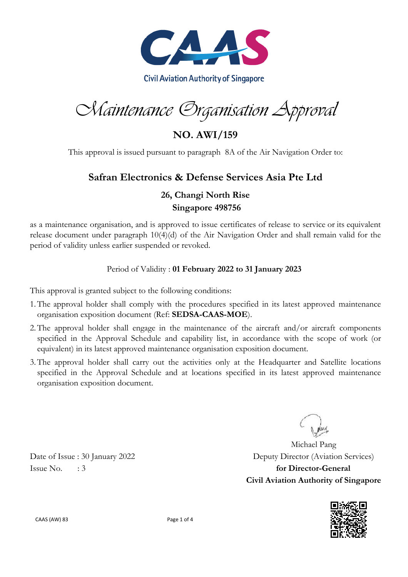

Maintenance Organisation Approval

**NO. AWI/159**

This approval is issued pursuant to paragraph 8A of the Air Navigation Order to:

## **Safran Electronics & Defense Services Asia Pte Ltd**

## **26, Changi North Rise Singapore 498756**

as a maintenance organisation, and is approved to issue certificates of release to service or its equivalent release document under paragraph 10(4)(d) of the Air Navigation Order and shall remain valid for the period of validity unless earlier suspended or revoked.

### Period of Validity : **01 February 2022 to 31 January 2023**

This approval is granted subject to the following conditions:

- 1.The approval holder shall comply with the procedures specified in its latest approved maintenance organisation exposition document (Ref: **SEDSA-CAAS-MOE**).
- 2.The approval holder shall engage in the maintenance of the aircraft and/or aircraft components specified in the Approval Schedule and capability list, in accordance with the scope of work (or equivalent) in its latest approved maintenance organisation exposition document.
- 3.The approval holder shall carry out the activities only at the Headquarter and Satellite locations specified in the Approval Schedule and at locations specified in its latest approved maintenance organisation exposition document.

Michael Pang Date of Issue : 30 January 2022 Deputy Director (Aviation Services) **Civil Aviation Authority of Singapore**



Issue No. : 3 **for Director-General**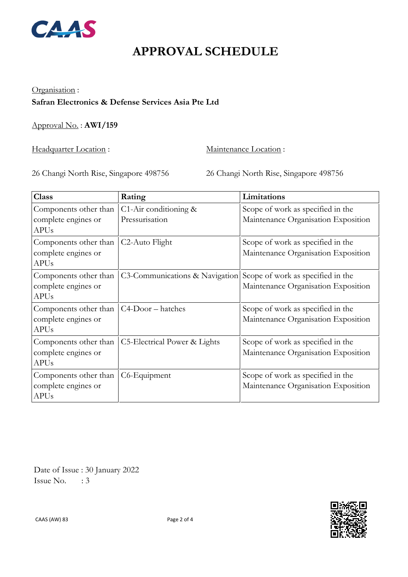

# **APPROVAL SCHEDULE**

## Organisation : **Safran Electronics & Defense Services Asia Pte Ltd**

Approval No. : **AWI/159**

Headquarter Location : Maintenance Location :

26 Changi North Rise, Singapore 498756 26 Changi North Rise, Singapore 498756

| <b>Class</b>                                                | Rating                                     | Limitations                                                              |
|-------------------------------------------------------------|--------------------------------------------|--------------------------------------------------------------------------|
| Components other than<br>complete engines or<br><b>APUs</b> | $C1$ -Air conditioning &<br>Pressurisation | Scope of work as specified in the<br>Maintenance Organisation Exposition |
| Components other than<br>complete engines or<br><b>APUs</b> | C <sub>2</sub> -Auto Flight                | Scope of work as specified in the<br>Maintenance Organisation Exposition |
| Components other than<br>complete engines or<br><b>APUs</b> | C3-Communications & Navigation             | Scope of work as specified in the<br>Maintenance Organisation Exposition |
| Components other than<br>complete engines or<br><b>APUs</b> | $C4-Door - hatches$                        | Scope of work as specified in the<br>Maintenance Organisation Exposition |
| Components other than<br>complete engines or<br><b>APUs</b> | C5-Electrical Power & Lights               | Scope of work as specified in the<br>Maintenance Organisation Exposition |
| Components other than<br>complete engines or<br><b>APUs</b> | C6-Equipment                               | Scope of work as specified in the<br>Maintenance Organisation Exposition |

 Date of Issue : 30 January 2022 Issue No.  $\therefore$  3

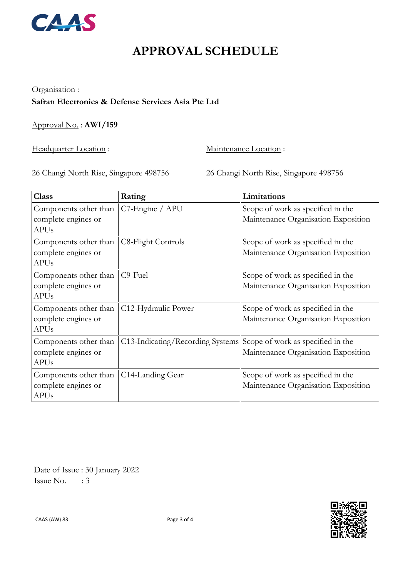

## **APPROVAL SCHEDULE**

#### Organisation :

### **Safran Electronics & Defense Services Asia Pte Ltd**

Approval No. : **AWI/159**

Headquarter Location : Maintenance Location :

26 Changi North Rise, Singapore 498756 26 Changi North Rise, Singapore 498756

| <b>Class</b>                                                | Rating                           | Limitations                                                              |
|-------------------------------------------------------------|----------------------------------|--------------------------------------------------------------------------|
| Components other than<br>complete engines or<br><b>APUs</b> | C7-Engine / APU                  | Scope of work as specified in the<br>Maintenance Organisation Exposition |
| Components other than<br>complete engines or<br><b>APUs</b> | C8-Flight Controls               | Scope of work as specified in the<br>Maintenance Organisation Exposition |
| Components other than<br>complete engines or<br><b>APUs</b> | C <sub>9</sub> -Fuel             | Scope of work as specified in the<br>Maintenance Organisation Exposition |
| Components other than<br>complete engines or<br><b>APUs</b> | C12-Hydraulic Power              | Scope of work as specified in the<br>Maintenance Organisation Exposition |
| Components other than<br>complete engines or<br><b>APUs</b> | C13-Indicating/Recording Systems | Scope of work as specified in the<br>Maintenance Organisation Exposition |
| Components other than<br>complete engines or<br><b>APUs</b> | C14-Landing Gear                 | Scope of work as specified in the<br>Maintenance Organisation Exposition |

 Date of Issue : 30 January 2022 Issue No.  $\therefore$  3